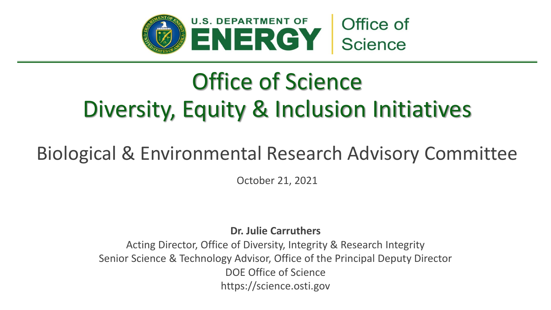

# Office of Science Diversity, Equity & Inclusion Initiatives

### Biological & Environmental Research Advisory Committee

October 21, 2021

**Dr. Julie Carruthers**

Acting Director, Office of Diversity, Integrity & Research Integrity Senior Science & Technology Advisor, Office of the Principal Deputy Director DOE Office of Science https://science.osti.gov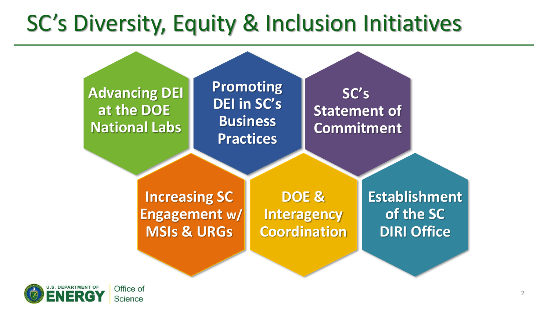# SC's Diversity, Equity & Inclusion Initiatives



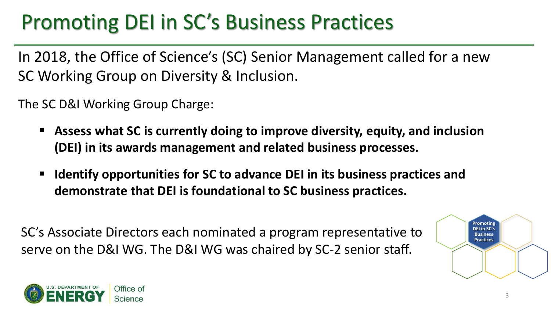### Promoting DEI in SC's Business Practices

In 2018, the Office of Science's (SC) Senior Management called for a new SC Working Group on Diversity & Inclusion.

The SC D&I Working Group Charge:

- **Assess what SC is currently doing to improve diversity, equity, and inclusion (DEI) in its awards management and related business processes.**
- **Identify opportunities for SC to advance DEI in its business practices and demonstrate that DEI is foundational to SC business practices.**

SC's Associate Directors each nominated a program representative to serve on the D&I WG. The D&I WG was chaired by SC-2 senior staff.



3

**Promoting DEI in SC's Business Practices**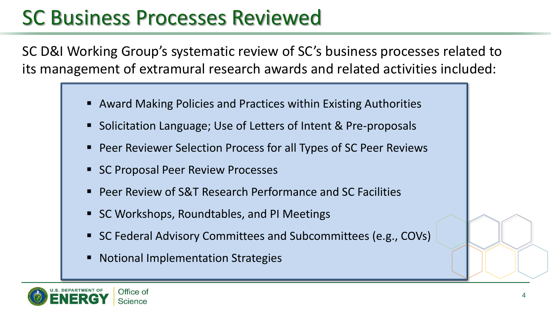### SC Business Processes Reviewed

SC D&I Working Group's systematic review of SC's business processes related to its management of extramural research awards and related activities included:

- Award Making Policies and Practices within Existing Authorities
- Solicitation Language; Use of Letters of Intent & Pre-proposals
- Peer Reviewer Selection Process for all Types of SC Peer Reviews
- SC Proposal Peer Review Processes
- **Peer Review of S&T Research Performance and SC Facilities**
- SC Workshops, Roundtables, and PI Meetings
- SC Federal Advisory Committees and Subcommittees (e.g., COVs)
- **Notional Implementation Strategies**

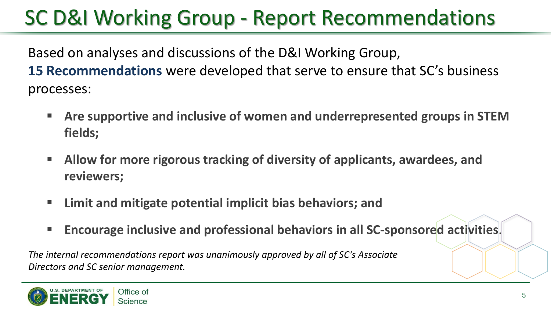## SC D&I Working Group - Report Recommendations

Based on analyses and discussions of the D&I Working Group, **15 Recommendations** were developed that serve to ensure that SC's business processes:

- **EXPLE Are supportive and inclusive of women and underrepresented groups in STEM fields;**
- **E** Allow for more rigorous tracking of diversity of applicants, awardees, and **reviewers;**
- **Limit and mitigate potential implicit bias behaviors; and**
- Encourage inclusive and professional behaviors in all SC-sponsored activities.

*The internal recommendations report was unanimously approved by all of SC's Associate Directors and SC senior management.* 

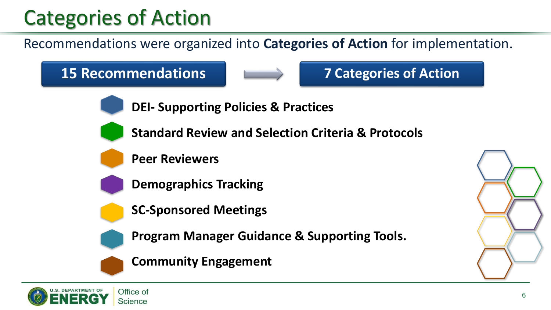### Categories of Action

Recommendations were organized into **Categories of Action** for implementation.

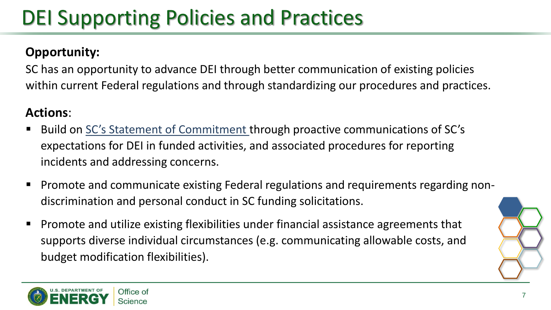## DEI Supporting Policies and Practices

#### **Opportunity:**

SC has an opportunity to advance DEI through better communication of existing policies within current Federal regulations and through standardizing our procedures and practices.

- Build on [SC's Statement of Commitment](https://science.osti.gov/sc-2/Research-and-Conduct-Policies/Diversity-Equity-and-Inclusion/SC-Statement-of-Commitment) through proactive communications of SC's expectations for DEI in funded activities, and associated procedures for reporting incidents and addressing concerns.
- Promote and communicate existing Federal regulations and requirements regarding nondiscrimination and personal conduct in SC funding solicitations.
- Promote and utilize existing flexibilities under financial assistance agreements that supports diverse individual circumstances (e.g. communicating allowable costs, and budget modification flexibilities).

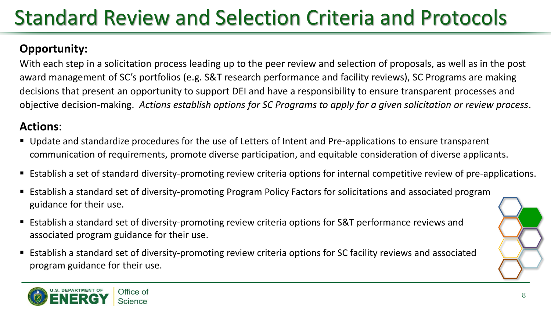# Standard Review and Selection Criteria and Protocols

#### **Opportunity:**

With each step in a solicitation process leading up to the peer review and selection of proposals, as well as in the post award management of SC's portfolios (e.g. S&T research performance and facility reviews), SC Programs are making decisions that present an opportunity to support DEI and have a responsibility to ensure transparent processes and objective decision-making. *Actions establish options for SC Programs to apply for a given solicitation or review process*.

- Update and standardize procedures for the use of Letters of Intent and Pre-applications to ensure transparent communication of requirements, promote diverse participation, and equitable consideration of diverse applicants.
- Establish a set of standard diversity-promoting review criteria options for internal competitive review of pre-applications.
- Establish a standard set of diversity-promoting Program Policy Factors for solicitations and associated program guidance for their use.
- Establish a standard set of diversity-promoting review criteria options for S&T performance reviews and associated program guidance for their use.
- Establish a standard set of diversity-promoting review criteria options for SC facility reviews and associated program guidance for their use.

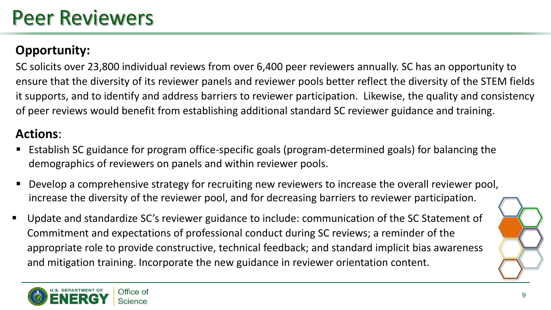### Peer Reviewers

#### **Opportunity:**

SC solicits over 23,800 individual reviews from over 6,400 peer reviewers annually. SC has an opportunity to ensure that the diversity of its reviewer panels and reviewer pools better reflect the diversity of the STEM fields it supports, and to identify and address barriers to reviewer participation. Likewise, the quality and consistency of peer reviews would benefit from establishing additional standard SC reviewer guidance and training.

- Establish SC guidance for program office-specific goals (program-determined goals) for balancing the demographics of reviewers on panels and within reviewer pools.
- Develop a comprehensive strategy for recruiting new reviewers to increase the overall reviewer pool, increase the diversity of the reviewer pool, and for decreasing barriers to reviewer participation.
- Update and standardize SC's reviewer guidance to include: communication of the SC Statement of Commitment and expectations of professional conduct during SC reviews; a reminder of the appropriate role to provide constructive, technical feedback; and standard implicit bias awareness and mitigation training. Incorporate the new guidance in reviewer orientation content.

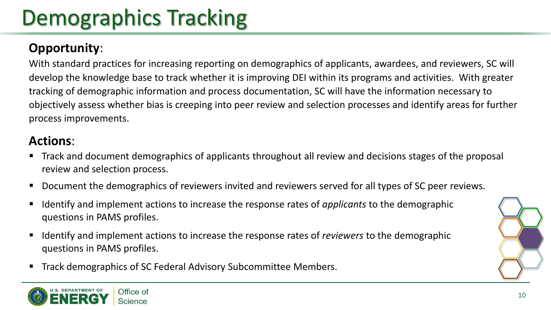# Demographics Tracking

#### **Opportunity**:

With standard practices for increasing reporting on demographics of applicants, awardees, and reviewers, SC will develop the knowledge base to track whether it is improving DEI within its programs and activities. With greater tracking of demographic information and process documentation, SC will have the information necessary to objectively assess whether bias is creeping into peer review and selection processes and identify areas for further process improvements.

- Track and document demographics of applicants throughout all review and decisions stages of the proposal review and selection process.
- Document the demographics of reviewers invited and reviewers served for all types of SC peer reviews.
- Identify and implement actions to increase the response rates of *applicants* to the demographic questions in PAMS profiles.
- Identify and implement actions to increase the response rates of *reviewers* to the demographic questions in PAMS profiles.
- Track demographics of SC Federal Advisory Subcommittee Members.

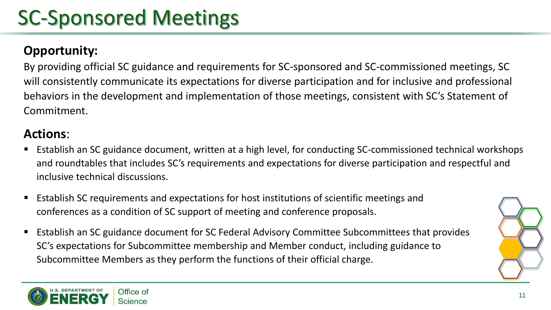### SC-Sponsored Meetings

#### **Opportunity:**

By providing official SC guidance and requirements for SC-sponsored and SC-commissioned meetings, SC will consistently communicate its expectations for diverse participation and for inclusive and professional behaviors in the development and implementation of those meetings, consistent with SC's Statement of Commitment.

- Establish an SC guidance document, written at a high level, for conducting SC-commissioned technical workshops and roundtables that includes SC's requirements and expectations for diverse participation and respectful and inclusive technical discussions.
- **E** Establish SC requirements and expectations for host institutions of scientific meetings and conferences as a condition of SC support of meeting and conference proposals.
- Establish an SC guidance document for SC Federal Advisory Committee Subcommittees that provides SC's expectations for Subcommittee membership and Member conduct, including guidance to Subcommittee Members as they perform the functions of their official charge.

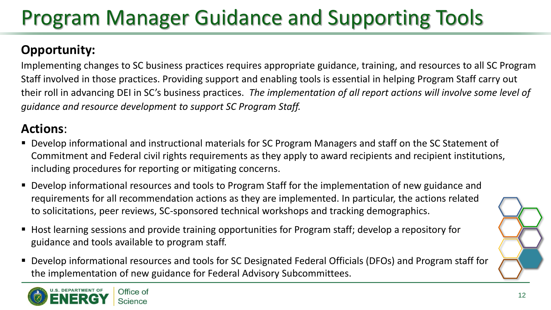## Program Manager Guidance and Supporting Tools

#### **Opportunity:**

Implementing changes to SC business practices requires appropriate guidance, training, and resources to all SC Program Staff involved in those practices. Providing support and enabling tools is essential in helping Program Staff carry out their roll in advancing DEI in SC's business practices. *The implementation of all report actions will involve some level of guidance and resource development to support SC Program Staff.* 

- Develop informational and instructional materials for SC Program Managers and staff on the SC Statement of Commitment and Federal civil rights requirements as they apply to award recipients and recipient institutions, including procedures for reporting or mitigating concerns.
- Develop informational resources and tools to Program Staff for the implementation of new guidance and requirements for all recommendation actions as they are implemented. In particular, the actions related to solicitations, peer reviews, SC-sponsored technical workshops and tracking demographics.
- Host learning sessions and provide training opportunities for Program staff; develop a repository for guidance and tools available to program staff.
- Develop informational resources and tools for SC Designated Federal Officials (DFOs) and Program staff for the implementation of new guidance for Federal Advisory Subcommittees.

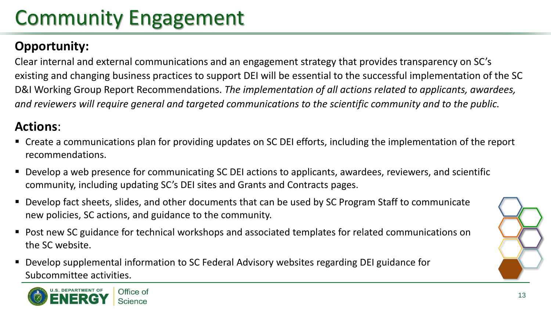# Community Engagement

#### **Opportunity:**

Clear internal and external communications and an engagement strategy that provides transparency on SC's existing and changing business practices to support DEI will be essential to the successful implementation of the SC D&I Working Group Report Recommendations. *The implementation of all actions related to applicants, awardees, and reviewers will require general and targeted communications to the scientific community and to the public.* 

- Create a communications plan for providing updates on SC DEI efforts, including the implementation of the report recommendations.
- Develop a web presence for communicating SC DEI actions to applicants, awardees, reviewers, and scientific community, including updating SC's DEI sites and Grants and Contracts pages.
- Develop fact sheets, slides, and other documents that can be used by SC Program Staff to communicate new policies, SC actions, and guidance to the community.
- Post new SC guidance for technical workshops and associated templates for related communications on the SC website.
- Develop supplemental information to SC Federal Advisory websites regarding DEI guidance for Subcommittee activities.

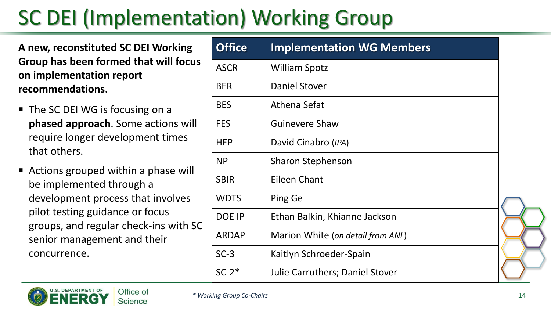# SC DEI (Implementation) Working Group

**A new, reconstituted SC DEI Working Group has been formed that will focus on implementation report recommendations.** 

- The SC DEI WG is focusing on a **phased approach**. Some actions will require longer development times that others.
- Actions grouped within a phase will be implemented through a development process that involves pilot testing guidance or focus groups, and regular check-ins with SC senior management and their concurrence.

| <b>Office</b> | <b>Implementation WG Members</b>  |  |
|---------------|-----------------------------------|--|
| <b>ASCR</b>   | <b>William Spotz</b>              |  |
| <b>BER</b>    | <b>Daniel Stover</b>              |  |
| <b>BES</b>    | Athena Sefat                      |  |
| <b>FES</b>    | <b>Guinevere Shaw</b>             |  |
| <b>HEP</b>    | David Cinabro (IPA)               |  |
| <b>NP</b>     | <b>Sharon Stephenson</b>          |  |
| <b>SBIR</b>   | Eileen Chant                      |  |
| <b>WDTS</b>   | Ping Ge                           |  |
| DOE IP        | Ethan Balkin, Khianne Jackson     |  |
| <b>ARDAP</b>  | Marion White (on detail from ANL) |  |
| $SC-3$        | Kaitlyn Schroeder-Spain           |  |
| $SC-2*$       | Julie Carruthers; Daniel Stover   |  |

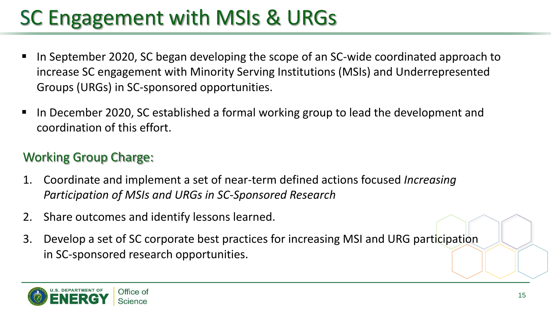# SC Engagement with MSIs & URGs

- In September 2020, SC began developing the scope of an SC-wide coordinated approach to increase SC engagement with Minority Serving Institutions (MSIs) and Underrepresented Groups (URGs) in SC-sponsored opportunities.
- In December 2020, SC established a formal working group to lead the development and coordination of this effort.

#### Working Group Charge:

- 1. Coordinate and implement a set of near-term defined actions focused *Increasing Participation of MSIs and URGs in SC-Sponsored Research*
- 2. Share outcomes and identify lessons learned.
- 3. Develop a set of SC corporate best practices for increasing MSI and URG participation in SC-sponsored research opportunities.

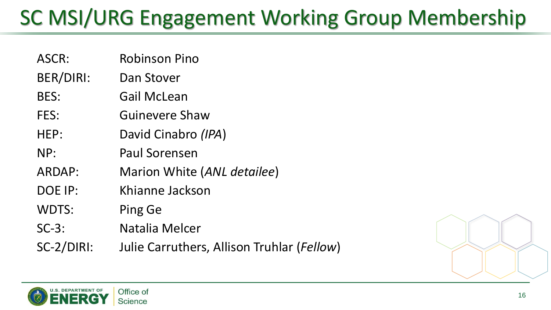## SC MSI/URG Engagement Working Group Membership

- ASCR: Robinson Pino
- BER/DIRI: Dan Stover
- BES: Gail McLean
- FES: Guinevere Shaw
- HEP: David Cinabro *(IPA*)
- NP: Paul Sorensen
- ARDAP: Marion White (*ANL detailee*)
- DOE IP: Khianne Jackson
- WDTS: Ping Ge
- SC-3: Natalia Melcer
- SC-2/DIRI: Julie Carruthers, Allison Truhlar (*Fellow*)



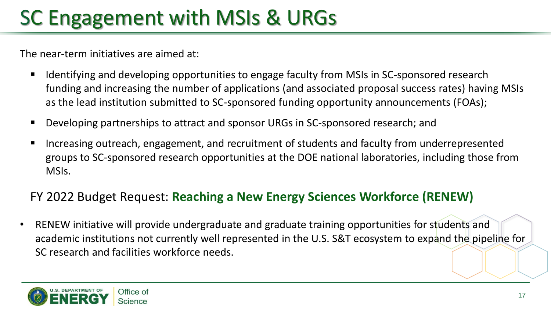## SC Engagement with MSIs & URGs

The near-term initiatives are aimed at:

- Identifying and developing opportunities to engage faculty from MSIs in SC-sponsored research funding and increasing the number of applications (and associated proposal success rates) having MSIs as the lead institution submitted to SC-sponsored funding opportunity announcements (FOAs);
- Developing partnerships to attract and sponsor URGs in SC-sponsored research; and
- Increasing outreach, engagement, and recruitment of students and faculty from underrepresented groups to SC-sponsored research opportunities at the DOE national laboratories, including those from MSIs.

#### FY 2022 Budget Request: **Reaching a New Energy Sciences Workforce (RENEW)**

RENEW initiative will provide undergraduate and graduate training opportunities for students and academic institutions not currently well represented in the U.S. S&T ecosystem to expand the pipeline for SC research and facilities workforce needs.

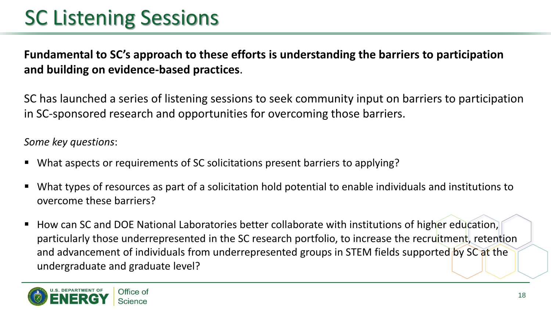### SC Listening Sessions

**Fundamental to SC's approach to these efforts is understanding the barriers to participation and building on evidence-based practices**.

SC has launched a series of listening sessions to seek community input on barriers to participation in SC-sponsored research and opportunities for overcoming those barriers.

#### *Some key questions*:

- What aspects or requirements of SC solicitations present barriers to applying?
- What types of resources as part of a solicitation hold potential to enable individuals and institutions to overcome these barriers?
- How can SC and DOE National Laboratories better collaborate with institutions of higher education, particularly those underrepresented in the SC research portfolio, to increase the recruitment, retention and advancement of individuals from underrepresented groups in STEM fields supported by SC at the undergraduate and graduate level?

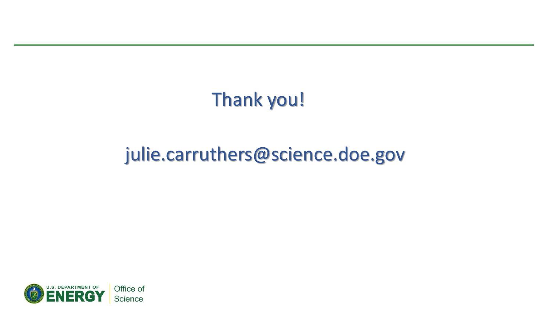### Thank you!

### julie.carruthers@science.doe.gov